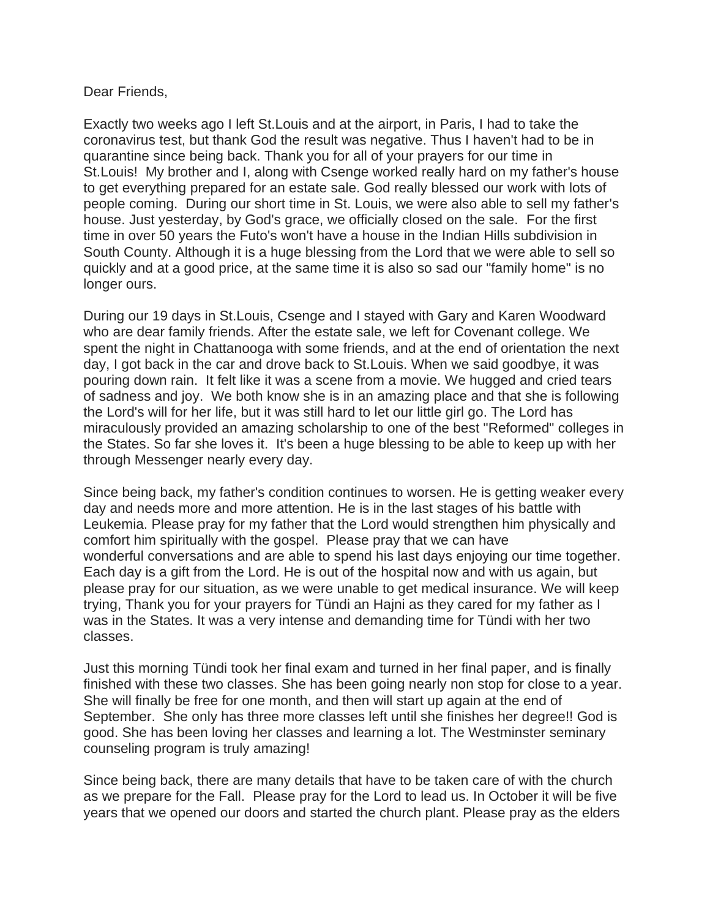## Dear Friends,

Exactly two weeks ago I left St.Louis and at the airport, in Paris, I had to take the coronavirus test, but thank God the result was negative. Thus I haven't had to be in quarantine since being back. Thank you for all of your prayers for our time in St.Louis! My brother and I, along with Csenge worked really hard on my father's house to get everything prepared for an estate sale. God really blessed our work with lots of people coming. During our short time in St. Louis, we were also able to sell my father's house. Just yesterday, by God's grace, we officially closed on the sale. For the first time in over 50 years the Futo's won't have a house in the Indian Hills subdivision in South County. Although it is a huge blessing from the Lord that we were able to sell so quickly and at a good price, at the same time it is also so sad our "family home" is no longer ours.

During our 19 days in St.Louis, Csenge and I stayed with Gary and Karen Woodward who are dear family friends. After the estate sale, we left for Covenant college. We spent the night in Chattanooga with some friends, and at the end of orientation the next day, I got back in the car and drove back to St.Louis. When we said goodbye, it was pouring down rain. It felt like it was a scene from a movie. We hugged and cried tears of sadness and joy. We both know she is in an amazing place and that she is following the Lord's will for her life, but it was still hard to let our little girl go. The Lord has miraculously provided an amazing scholarship to one of the best "Reformed" colleges in the States. So far she loves it. It's been a huge blessing to be able to keep up with her through Messenger nearly every day.

Since being back, my father's condition continues to worsen. He is getting weaker every day and needs more and more attention. He is in the last stages of his battle with Leukemia. Please pray for my father that the Lord would strengthen him physically and comfort him spiritually with the gospel. Please pray that we can have wonderful conversations and are able to spend his last days enjoying our time together. Each day is a gift from the Lord. He is out of the hospital now and with us again, but please pray for our situation, as we were unable to get medical insurance. We will keep trying, Thank you for your prayers for Tündi an Hajni as they cared for my father as I was in the States. It was a very intense and demanding time for Tündi with her two classes.

Just this morning Tündi took her final exam and turned in her final paper, and is finally finished with these two classes. She has been going nearly non stop for close to a year. She will finally be free for one month, and then will start up again at the end of September. She only has three more classes left until she finishes her degree!! God is good. She has been loving her classes and learning a lot. The Westminster seminary counseling program is truly amazing!

Since being back, there are many details that have to be taken care of with the church as we prepare for the Fall. Please pray for the Lord to lead us. In October it will be five years that we opened our doors and started the church plant. Please pray as the elders